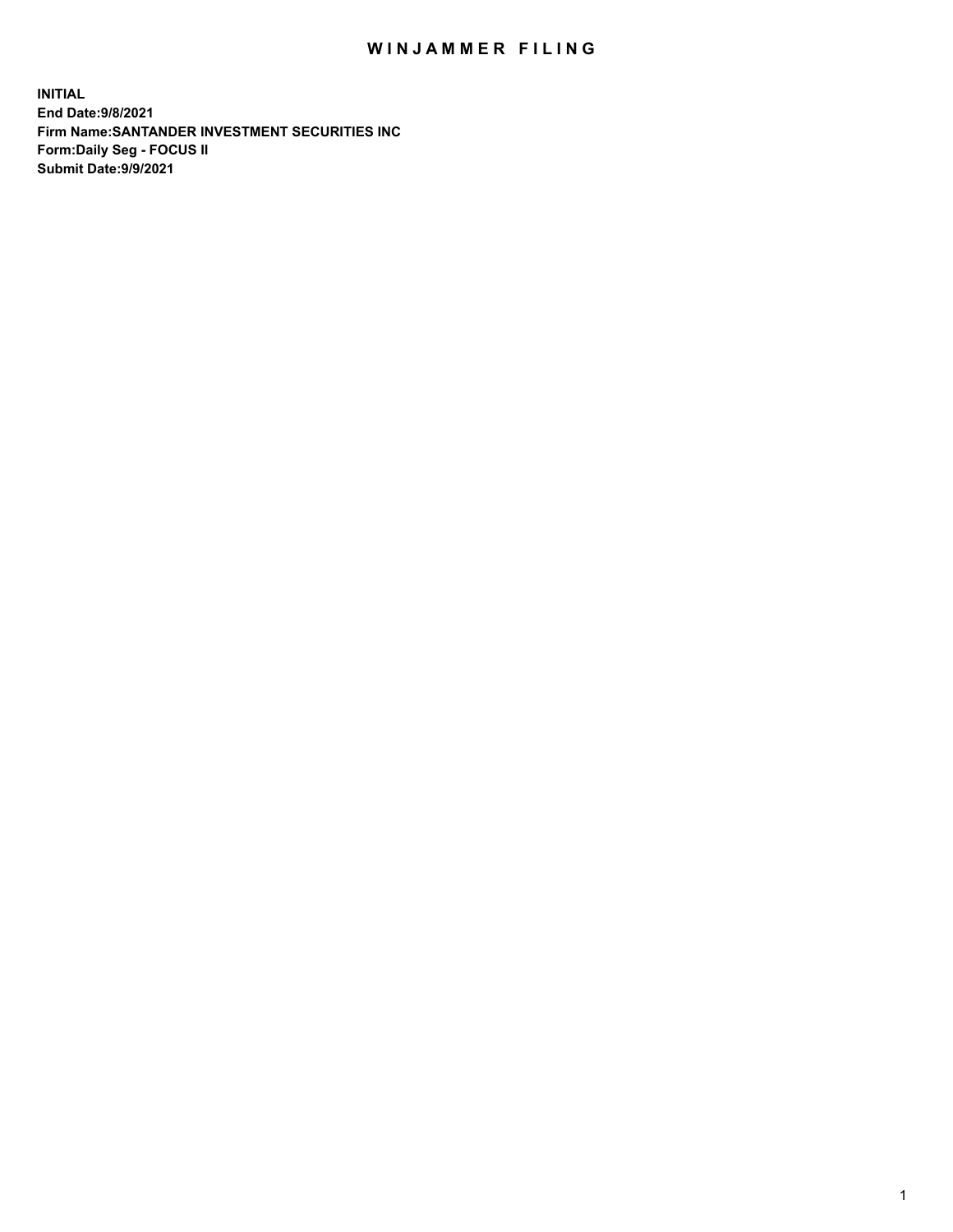## WIN JAMMER FILING

**INITIAL End Date:9/8/2021 Firm Name:SANTANDER INVESTMENT SECURITIES INC Form:Daily Seg - FOCUS II Submit Date:9/9/2021**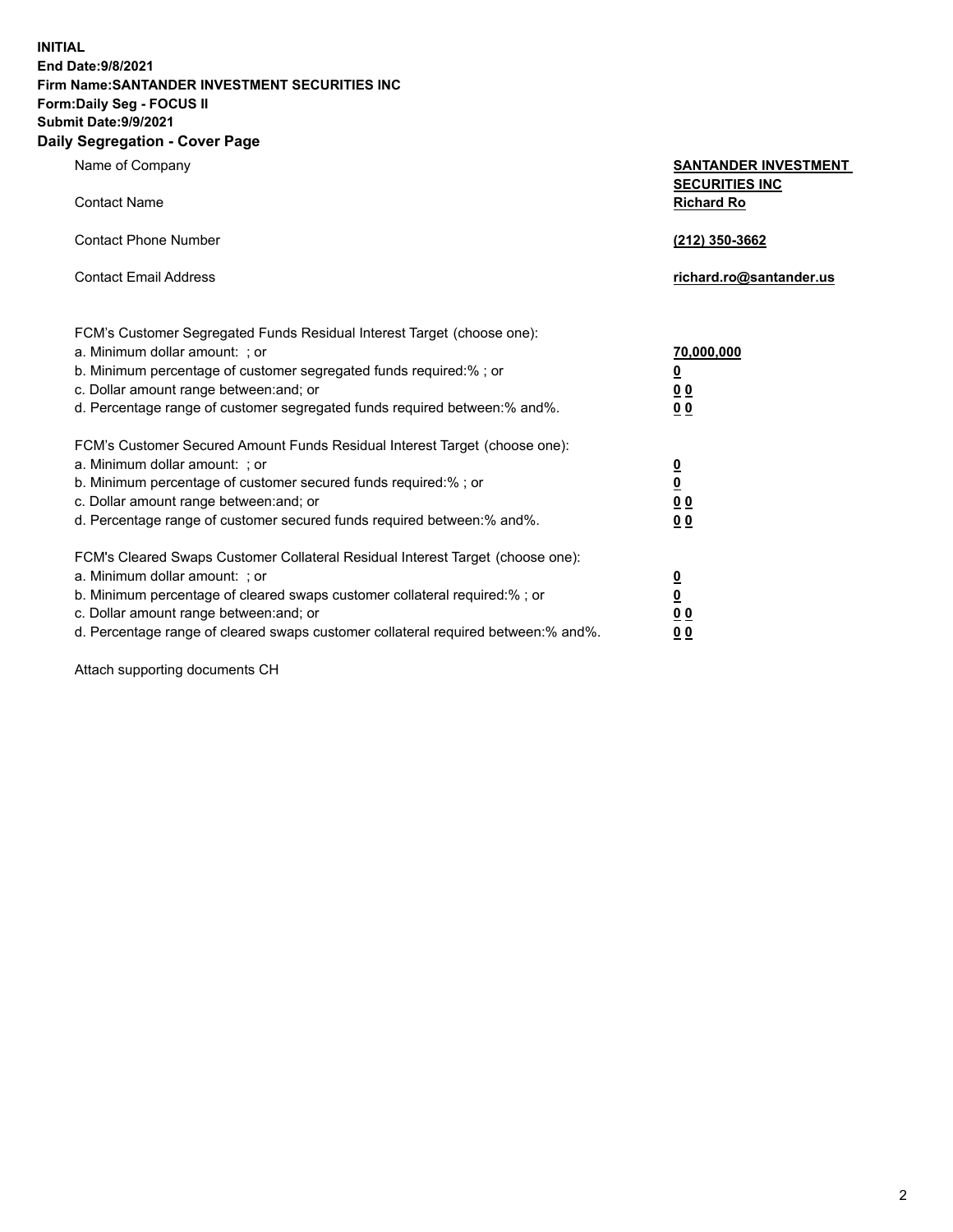**INITIAL End Date:9/8/2021 Firm Name:SANTANDER INVESTMENT SECURITIES INC Form:Daily Seg - FOCUS II Submit Date:9/9/2021 Daily Segregation - Cover Page**

Name of Company **SANTANDER INVESTMENT SECURITIES INC** Contact Name **Richard Ro** Contact Phone Number **(212) 350-3662** Contact Email Address **richard.ro@santander.us** FCM's Customer Segregated Funds Residual Interest Target (choose one): a. Minimum dollar amount: ; or **70,000,000** b. Minimum percentage of customer segregated funds required:% ; or **0** c. Dollar amount range between:and; or **0 0** d. Percentage range of customer segregated funds required between:% and%. **0 0** FCM's Customer Secured Amount Funds Residual Interest Target (choose one): a. Minimum dollar amount: ; or **0** b. Minimum percentage of customer secured funds required:% ; or **0** c. Dollar amount range between:and; or **0 0** d. Percentage range of customer secured funds required between:% and%. **0 0** FCM's Cleared Swaps Customer Collateral Residual Interest Target (choose one): a. Minimum dollar amount: ; or **0** b. Minimum percentage of cleared swaps customer collateral required:% ; or **0** c. Dollar amount range between:and; or **0 0**

d. Percentage range of cleared swaps customer collateral required between:% and%. **0 0**

Attach supporting documents CH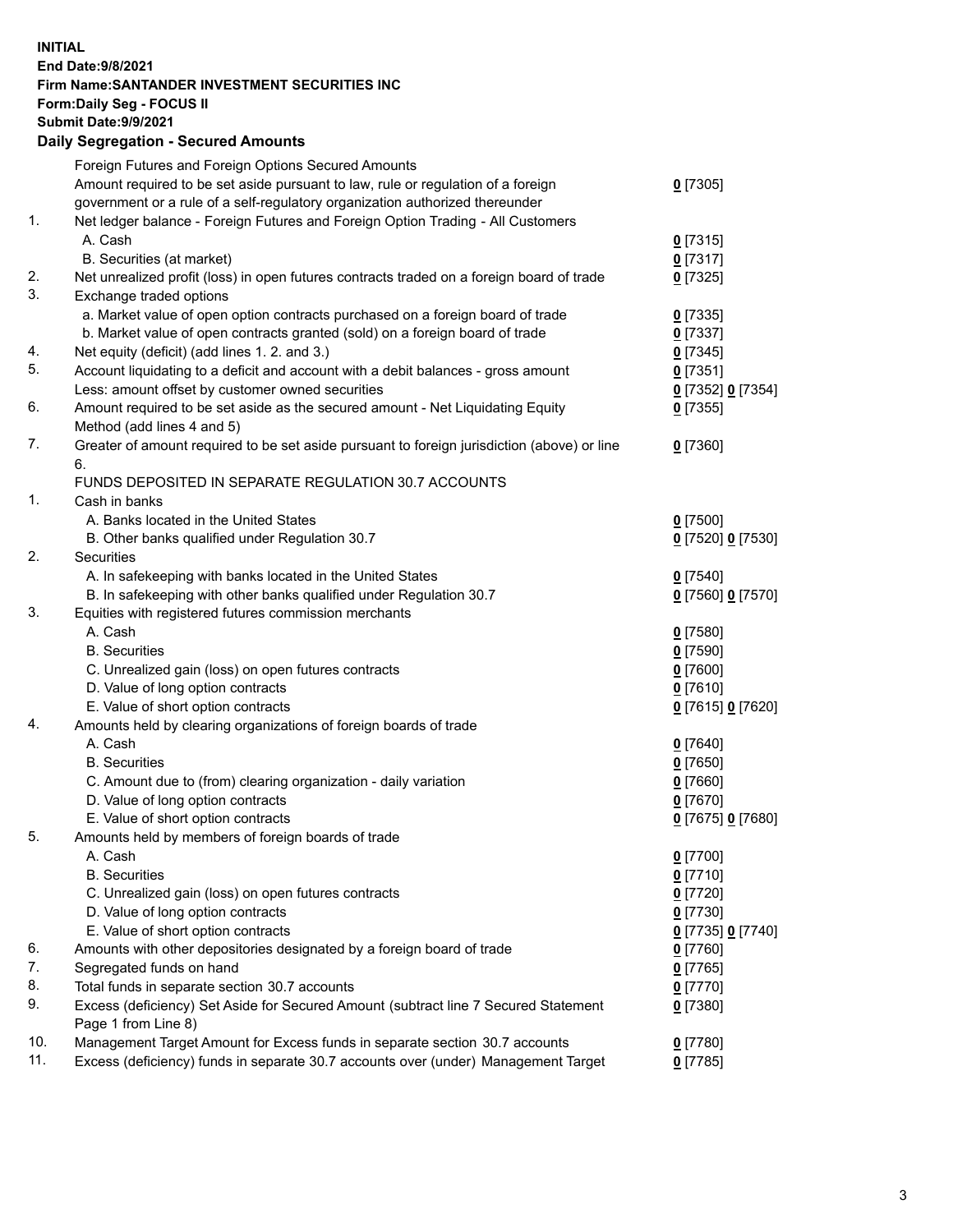## **INITIAL End Date:9/8/2021 Firm Name:SANTANDER INVESTMENT SECURITIES INC Form:Daily Seg - FOCUS II Submit Date:9/9/2021 Daily Segregation - Secured Amounts** Foreign Futures and Foreign Options Secured Amounts

|                | Amount required to be set aside pursuant to law, rule or regulation of a foreign<br>government or a rule of a self-regulatory organization authorized thereunder | $0$ [7305]        |
|----------------|------------------------------------------------------------------------------------------------------------------------------------------------------------------|-------------------|
| $\mathbf{1}$ . | Net ledger balance - Foreign Futures and Foreign Option Trading - All Customers                                                                                  |                   |
|                | A. Cash                                                                                                                                                          | $0$ [7315]        |
|                | B. Securities (at market)                                                                                                                                        | $0$ [7317]        |
| 2.<br>3.       | Net unrealized profit (loss) in open futures contracts traded on a foreign board of trade                                                                        | $0$ [7325]        |
|                | Exchange traded options                                                                                                                                          |                   |
|                | a. Market value of open option contracts purchased on a foreign board of trade                                                                                   | $0$ [7335]        |
|                | b. Market value of open contracts granted (sold) on a foreign board of trade                                                                                     | $0$ [7337]        |
| 4.<br>5.       | Net equity (deficit) (add lines 1. 2. and 3.)                                                                                                                    | $0$ [7345]        |
|                | Account liquidating to a deficit and account with a debit balances - gross amount                                                                                | $0$ [7351]        |
| 6.             | Less: amount offset by customer owned securities                                                                                                                 | 0 [7352] 0 [7354] |
|                | Amount required to be set aside as the secured amount - Net Liquidating Equity<br>Method (add lines 4 and 5)                                                     | $0$ [7355]        |
| 7.             | Greater of amount required to be set aside pursuant to foreign jurisdiction (above) or line                                                                      | $0$ [7360]        |
|                | 6.                                                                                                                                                               |                   |
|                | FUNDS DEPOSITED IN SEPARATE REGULATION 30.7 ACCOUNTS                                                                                                             |                   |
| 1.             | Cash in banks                                                                                                                                                    |                   |
|                | A. Banks located in the United States                                                                                                                            | $0$ [7500]        |
|                | B. Other banks qualified under Regulation 30.7                                                                                                                   | 0 [7520] 0 [7530] |
| 2.             | Securities                                                                                                                                                       |                   |
|                | A. In safekeeping with banks located in the United States                                                                                                        | $0$ [7540]        |
|                | B. In safekeeping with other banks qualified under Regulation 30.7                                                                                               | 0 [7560] 0 [7570] |
| 3.             | Equities with registered futures commission merchants                                                                                                            |                   |
|                | A. Cash                                                                                                                                                          | $0$ [7580]        |
|                | <b>B.</b> Securities                                                                                                                                             | $0$ [7590]        |
|                | C. Unrealized gain (loss) on open futures contracts                                                                                                              | $0$ [7600]        |
|                | D. Value of long option contracts                                                                                                                                | $0$ [7610]        |
|                | E. Value of short option contracts                                                                                                                               | 0 [7615] 0 [7620] |
| 4.             | Amounts held by clearing organizations of foreign boards of trade                                                                                                |                   |
|                | A. Cash                                                                                                                                                          | $0$ [7640]        |
|                | <b>B.</b> Securities                                                                                                                                             | $0$ [7650]        |
|                | C. Amount due to (from) clearing organization - daily variation                                                                                                  | $0$ [7660]        |
|                | D. Value of long option contracts                                                                                                                                | $0$ [7670]        |
|                | E. Value of short option contracts                                                                                                                               | 0 [7675] 0 [7680] |
| 5.             | Amounts held by members of foreign boards of trade                                                                                                               |                   |
|                | A. Cash                                                                                                                                                          | $0$ [7700]        |
|                | <b>B.</b> Securities                                                                                                                                             | <u>0</u> [7710]   |
|                | C. Unrealized gain (loss) on open futures contracts                                                                                                              | $0$ [7720]        |
|                | D. Value of long option contracts                                                                                                                                | $0$ [7730]        |
|                | E. Value of short option contracts                                                                                                                               | 0 [7735] 0 [7740] |
| 6.             | Amounts with other depositories designated by a foreign board of trade                                                                                           | $0$ [7760]        |
| 7.             | Segregated funds on hand                                                                                                                                         | $0$ [7765]        |
| 8.             | Total funds in separate section 30.7 accounts                                                                                                                    | 0 [7770]          |
| 9.             | Excess (deficiency) Set Aside for Secured Amount (subtract line 7 Secured Statement<br>Page 1 from Line 8)                                                       | $0$ [7380]        |
| 10.            | Management Target Amount for Excess funds in separate section 30.7 accounts                                                                                      | 0 [7780]          |
| 11.            | Excess (deficiency) funds in separate 30.7 accounts over (under) Management Target                                                                               | $0$ [7785]        |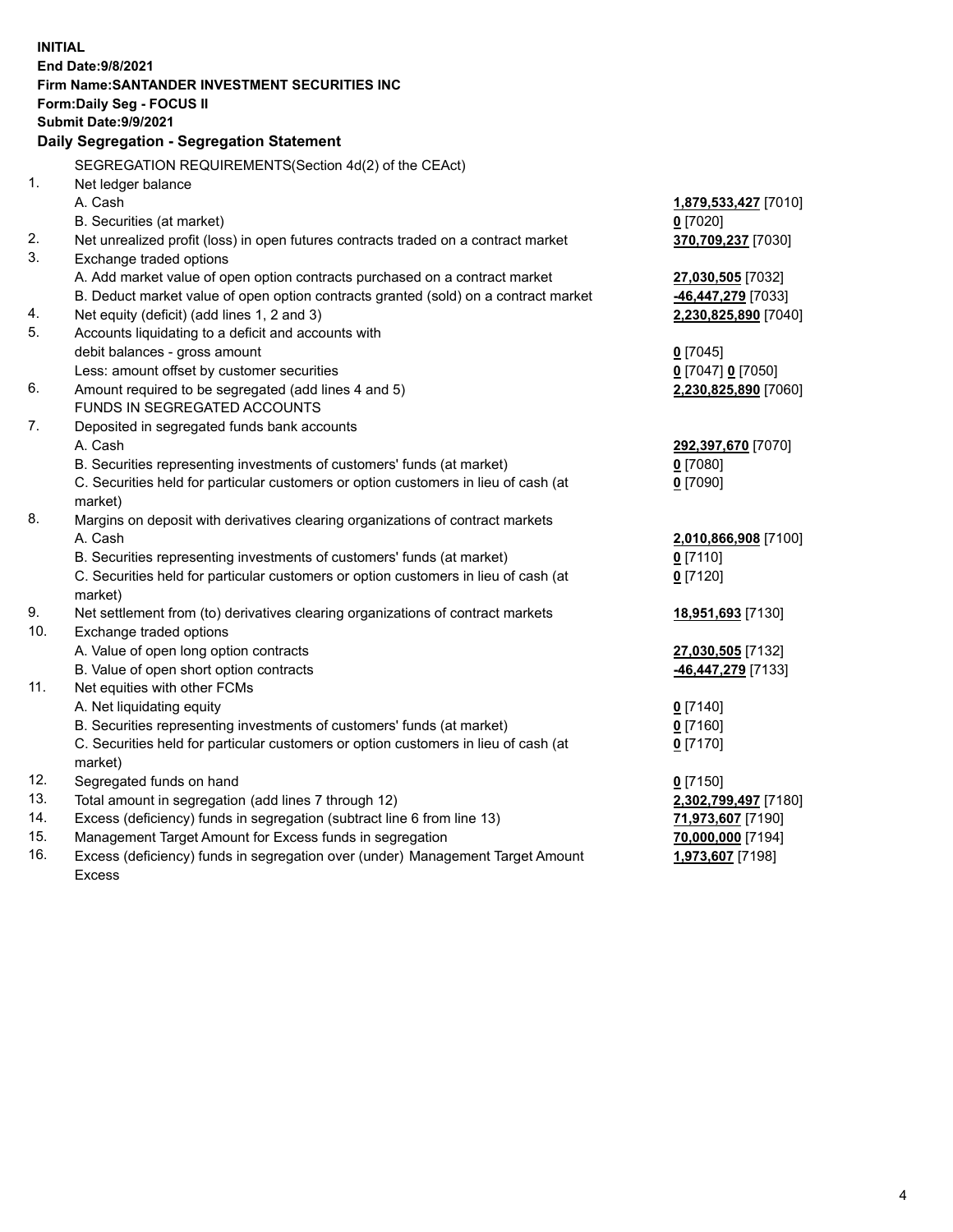| <b>INITIAL</b> | End Date: 9/8/2021<br>Firm Name: SANTANDER INVESTMENT SECURITIES INC<br>Form: Daily Seg - FOCUS II |                      |  |  |
|----------------|----------------------------------------------------------------------------------------------------|----------------------|--|--|
|                | Submit Date: 9/9/2021<br>Daily Segregation - Segregation Statement                                 |                      |  |  |
|                |                                                                                                    |                      |  |  |
| 1.             | SEGREGATION REQUIREMENTS(Section 4d(2) of the CEAct)<br>Net ledger balance                         |                      |  |  |
|                | A. Cash                                                                                            | 1,879,533,427 [7010] |  |  |
|                | B. Securities (at market)                                                                          | $0$ [7020]           |  |  |
| 2.             | Net unrealized profit (loss) in open futures contracts traded on a contract market                 | 370,709,237 [7030]   |  |  |
| 3.             | Exchange traded options                                                                            |                      |  |  |
|                | A. Add market value of open option contracts purchased on a contract market                        | 27,030,505 [7032]    |  |  |
|                | B. Deduct market value of open option contracts granted (sold) on a contract market                | 46,447,279 [7033]    |  |  |
| 4.             | Net equity (deficit) (add lines 1, 2 and 3)                                                        | 2,230,825,890 [7040] |  |  |
| 5.             | Accounts liquidating to a deficit and accounts with                                                |                      |  |  |
|                | debit balances - gross amount                                                                      | $0$ [7045]           |  |  |
|                | Less: amount offset by customer securities                                                         | 0 [7047] 0 [7050]    |  |  |
| 6.             | Amount required to be segregated (add lines 4 and 5)                                               | 2,230,825,890 [7060] |  |  |
|                | FUNDS IN SEGREGATED ACCOUNTS                                                                       |                      |  |  |
| 7.             | Deposited in segregated funds bank accounts                                                        |                      |  |  |
|                | A. Cash                                                                                            | 292,397,670 [7070]   |  |  |
|                | B. Securities representing investments of customers' funds (at market)                             | $0$ [7080]           |  |  |
|                | C. Securities held for particular customers or option customers in lieu of cash (at                | $0$ [7090]           |  |  |
|                | market)                                                                                            |                      |  |  |
| 8.             | Margins on deposit with derivatives clearing organizations of contract markets                     |                      |  |  |
|                | A. Cash                                                                                            | 2,010,866,908 [7100] |  |  |
|                | B. Securities representing investments of customers' funds (at market)                             | $0$ [7110]           |  |  |
|                | C. Securities held for particular customers or option customers in lieu of cash (at<br>market)     | $0$ [7120]           |  |  |
| 9.             | Net settlement from (to) derivatives clearing organizations of contract markets                    | 18,951,693 [7130]    |  |  |
| 10.            | Exchange traded options                                                                            |                      |  |  |
|                | A. Value of open long option contracts                                                             | 27,030,505 [7132]    |  |  |
|                | B. Value of open short option contracts                                                            | 46,447,279 [7133]    |  |  |
| 11.            | Net equities with other FCMs                                                                       |                      |  |  |
|                | A. Net liquidating equity                                                                          | $0$ [7140]           |  |  |
|                | B. Securities representing investments of customers' funds (at market)                             | 0 [7160]             |  |  |
|                | C. Securities held for particular customers or option customers in lieu of cash (at                | $0$ [7170]           |  |  |
|                | market)                                                                                            |                      |  |  |
| 12.            | Segregated funds on hand                                                                           | $0$ [7150]           |  |  |
| 13.            | Total amount in segregation (add lines 7 through 12)                                               | 2,302,799,497 [7180] |  |  |
| 14.            | Excess (deficiency) funds in segregation (subtract line 6 from line 13)                            | 71,973,607 [7190]    |  |  |
| 15.            | Management Target Amount for Excess funds in segregation                                           | 70,000,000 [7194]    |  |  |
| 16.            | Excess (deficiency) funds in segregation over (under) Management Target Amount                     | 1,973,607 [7198]     |  |  |
|                | <b>Excess</b>                                                                                      |                      |  |  |